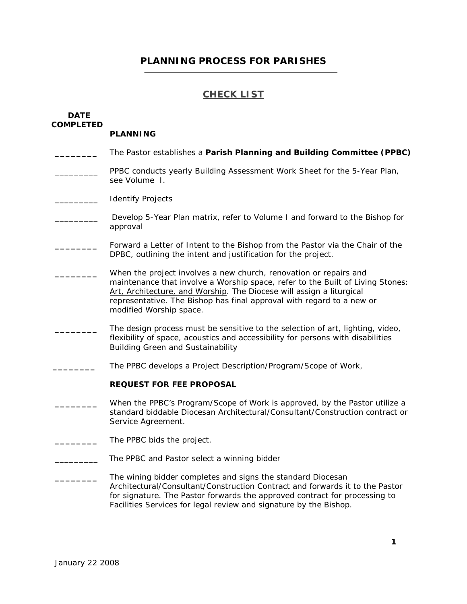## **PLANNING PROCESS FOR PARISHES**

## **CHECK LIST**

# **DATE COMPLETED PLANNING \_\_\_\_\_\_\_\_** The Pastor establishes a **Parish Planning and Building Committee (PPBC)** PPBC conducts yearly Building Assessment Work Sheet for the 5-Year Plan, see Volume I. \_\_\_\_\_\_\_\_\_ Identify Projects Develop 5-Year Plan matrix, refer to Volume I and forward to the Bishop for approval **\_\_\_\_\_\_\_\_** Forward a Letter of Intent to the Bishop from the Pastor via the Chair of the DPBC, outlining the intent and justification for the project. When the project involves a new church, renovation or repairs and maintenance that involve a Worship space, refer to the Built of Living Stones: Art, Architecture, and Worship. The Diocese will assign a liturgical representative. The Bishop has final approval with regard to a new or modified Worship space. **\_\_\_\_\_\_\_\_** The design process must be sensitive to the selection of art, lighting, video, flexibility of space, acoustics and accessibility for persons with disabilities Building Green and Sustainability The PPBC develops a Project Description/Program/Scope of Work, **REQUEST FOR FEE PROPOSAL \_\_\_\_\_\_\_\_** When the PPBC's Program/Scope of Work is approved, by the Pastor utilize a standard biddable Diocesan Architectural/Consultant/Construction contract or Service Agreement. The PPBC bids the project. The PPBC and Pastor select a winning bidder **\_\_\_\_\_\_\_\_** The wining bidder completes and signs the standard Diocesan Architectural/Consultant/Construction Contract and forwards it to the Pastor for signature. The Pastor forwards the approved contract for processing to Facilities Services for legal review and signature by the Bishop.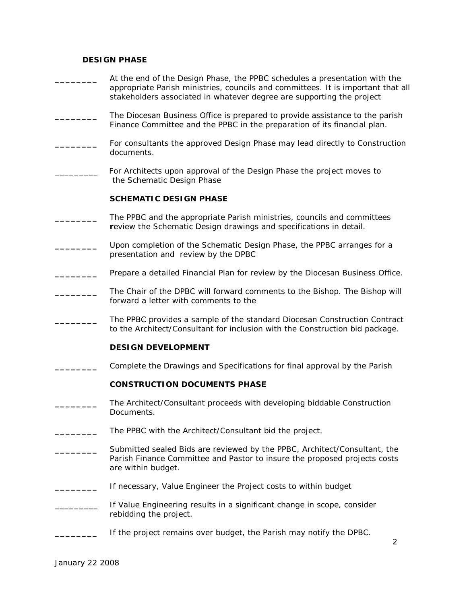### **DESIGN PHASE**

- **\_\_\_\_\_\_\_\_** At the end of the Design Phase, the PPBC schedules a presentation with the appropriate Parish ministries, councils and committees. It is important that all stakeholders associated in whatever degree are supporting the project
- **\_\_\_\_\_\_\_\_** The Diocesan Business Office is prepared to provide assistance to the parish Finance Committee and the PPBC in the preparation of its financial plan.
- For consultants the approved Design Phase may lead directly to Construction documents.
- For Architects upon approval of the Design Phase the project moves to the Schematic Design Phase

#### **SCHEMATIC DESIGN PHASE**

- **\_\_\_\_\_\_\_\_** The PPBC and the appropriate Parish ministries, councils and committees **r**eview the Schematic Design drawings and specifications in detail.
- **\_\_\_\_\_\_\_\_** Upon completion of the Schematic Design Phase, the PPBC arranges for a presentation and review by the DPBC
- **\_\_\_\_\_\_\_\_** Prepare a detailed Financial Plan for review by the Diocesan Business Office.
- **\_\_\_\_\_\_\_\_** The Chair of the DPBC will forward comments to the Bishop. The Bishop will forward a letter with comments to the
- **\_\_\_\_\_\_\_\_** The PPBC provides a sample of the standard Diocesan Construction Contract to the Architect/Consultant for inclusion with the Construction bid package.

#### **DESIGN DEVELOPMENT**

**\_\_\_\_\_\_\_\_** Complete the Drawings and Specifications for final approval by the Parish

#### **CONSTRUCTION DOCUMENTS PHASE**

- **\_\_\_\_\_\_\_\_** The Architect/Consultant proceeds with developing biddable Construction Documents.
- **\_\_\_\_\_\_\_\_** The PPBC with the Architect/Consultant bid the project.
- **\_\_\_\_\_\_\_\_** Submitted sealed Bids are reviewed by the PPBC, Architect/Consultant, the Parish Finance Committee and Pastor to insure the proposed projects costs are within budget.
- **\_\_\_\_\_\_\_\_** If necessary, Value Engineer the Project costs to within budget
- If Value Engineering results in a significant change in scope, consider rebidding the project.
- If the project remains over budget, the Parish may notify the DPBC.